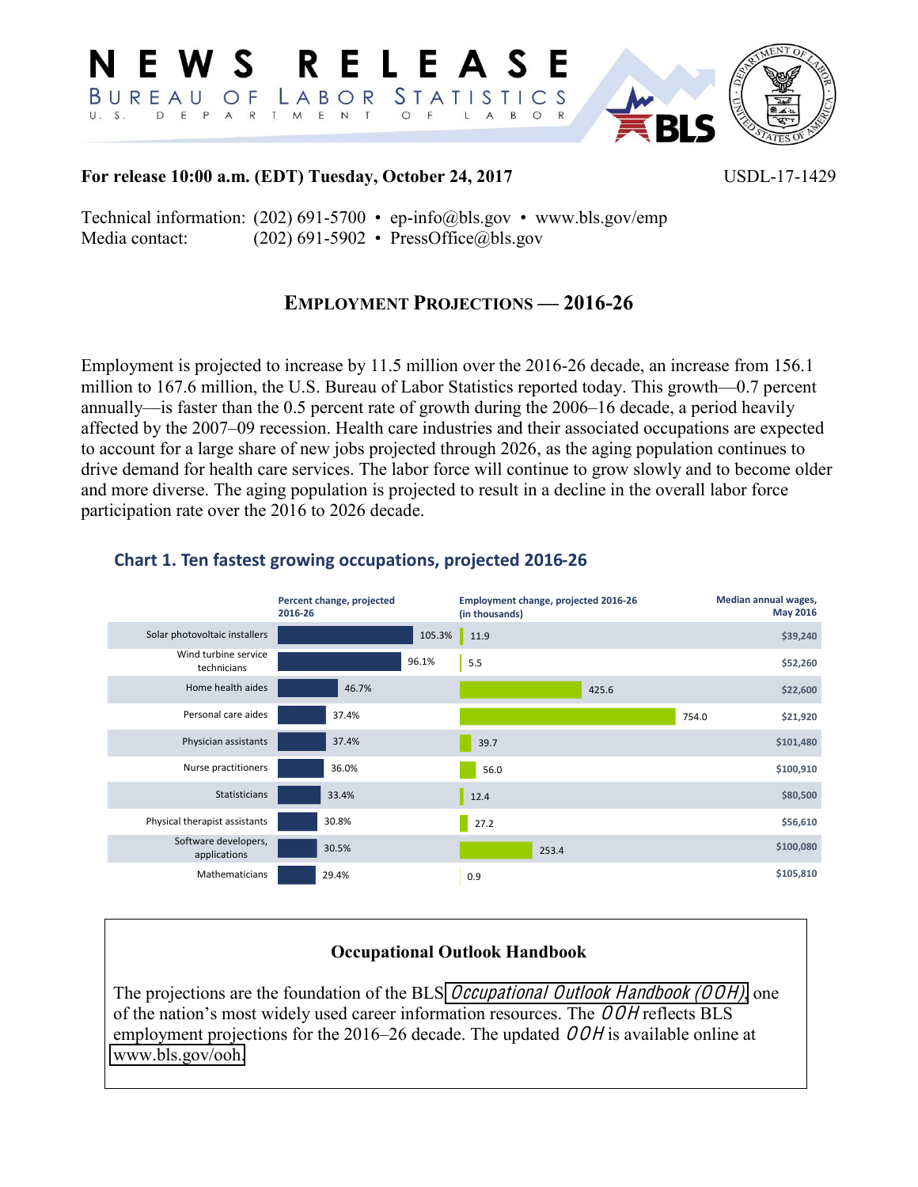

#### For release 10:00 a.m. (EDT) Tuesday, October 24, 2017

USDL-17-1429

Technical information:  $(202)$  691-5700 • ep-info@bls.gov • www.bls.gov/emp Media contact:  $(202)$  691-5902 • PressOffice@bls.gov

## **EMPLOYMENT PROJECTIONS - 2016-26**

Employment is projected to increase by 11.5 million over the 2016-26 decade, an increase from 156.1 million to 167.6 million, the U.S. Bureau of Labor Statistics reported today. This growth—0.7 percent annually—is faster than the 0.5 percent rate of growth during the 2006–16 decade, a period heavily affected by the 2007–09 recession. Health care industries and their associated occupations are expected to account for a large share of new jobs projected through 2026, as the aging population continues to drive demand for health care services. The labor force will continue to grow slowly and to become older and more diverse. The aging population is projected to result in a decline in the overall labor force participation rate over the 2016 to 2026 decade.



### Chart 1. Ten fastest growing occupations, projected 2016-26

### **Occupational Outlook Handbook**

The projections are the foundation of the BLS *Occupational Outlook Handbook (OOH)*, one of the nation's most widely used career information resources. The  $OOH$  reflects BLS employment projections for the 2016–26 decade. The updated  $OOH$  is available online at www.bls.gov/ooh.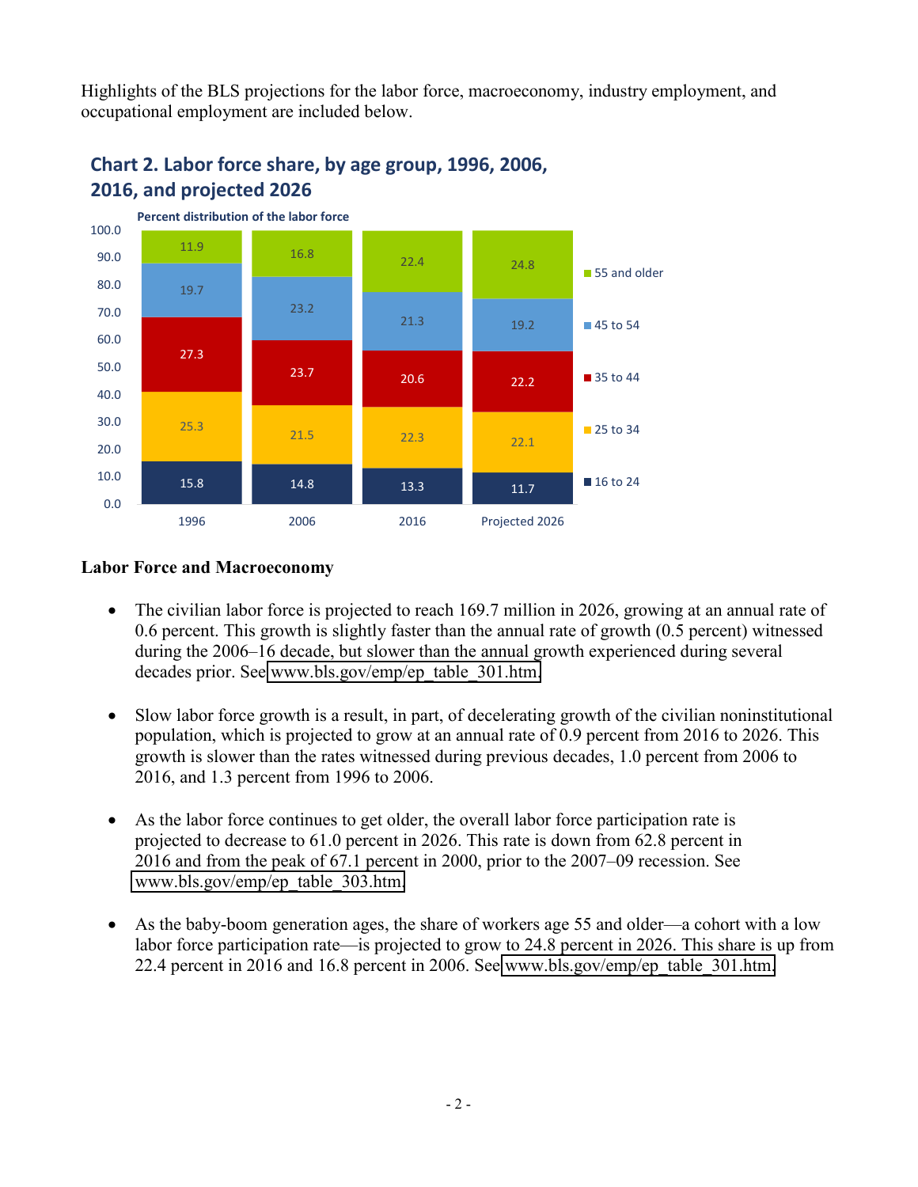Highlights of the BLS projections for the labor force, macroeconomy, industry employment, and occupational employment are included below.



# Chart 2. Labor force share, by age group, 1996, 2006, 2016, and projected 2026

### **Labor Force and Macroeconomy**

- The civilian labor force is projected to reach 169.7 million in 2026, growing at an annual rate of 0.6 percent. This growth is slightly faster than the annual rate of growth (0.5 percent) witnessed during the 2006–16 decade, but slower than the annual growth experienced during several decades prior. See www.bls.gov/emp/ep\_table\_301.htm.
- Slow labor force growth is a result, in part, of decelerating growth of the civilian noninstitutional  $\bullet$ population, which is projected to grow at an annual rate of 0.9 percent from 2016 to 2026. This growth is slower than the rates witnessed during previous decades, 1.0 percent from 2006 to 2016, and 1.3 percent from 1996 to 2006.
- As the labor force continues to get older, the overall labor force participation rate is projected to decrease to 61.0 percent in 2026. This rate is down from 62.8 percent in 2016 and from the peak of 67.1 percent in 2000, prior to the 2007–09 recession. See www.bls.gov/emp/ep table 303.htm.
- As the baby-boom generation ages, the share of workers age 55 and older—a cohort with a low labor force participation rate—is projected to grow to 24.8 percent in 2026. This share is up from 22.4 percent in 2016 and 16.8 percent in 2006. See www.bls.gov/emp/ep table 301.htm.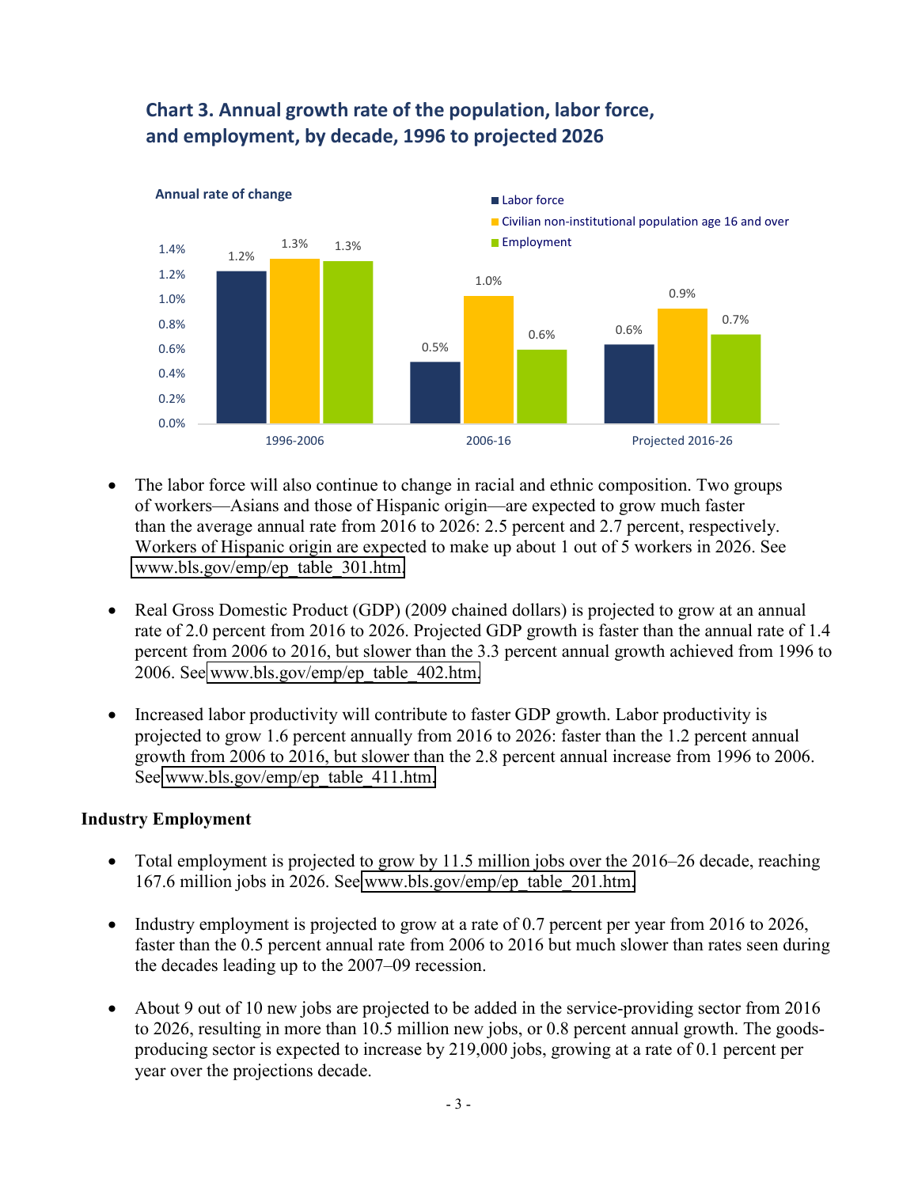

# **Chart 3. Annual growth rate of the population, labor force,** and employment, by decade, 1996 to projected 2026

- x The labor force will also continue to change in racial and ethnic composition. Two groups of workers—Asians and those of Hispanic origin—are expected to grow much faster than the average annual rate from 2016 to 2026: 2.5 percent and 2.7 percent, respectively. Workers of Hispanic origin are expected to make up about 1 out of 5 workers in 2026. See [www.bls.gov/emp/ep\\_table\\_301.htm.](http://www.bls.gov/emp/ep_table_301.htm)
- Real Gross Domestic Product (GDP) (2009 chained dollars) is projected to grow at an annual rate of 2.0 percent from 2016 to 2026. Projected GDP growth is faster than the annual rate of 1.4 percent from 2006 to 2016, but slower than the 3.3 percent annual growth achieved from 1996 to 2006. See [www.bls.gov/emp/ep\\_table\\_402.htm.](http://www.bls.gov/emp/ep_table_402.htm)
- Increased labor productivity will contribute to faster GDP growth. Labor productivity is projected to grow 1.6 percent annually from 2016 to 2026: faster than the 1.2 percent annual growth from 2006 to 2016, but slower than the 2.8 percent annual increase from 1996 to 2006. See [www.bls.gov/emp/ep\\_table\\_411.htm.](http://www.bls.gov/emp/ep_table_411.htm)

### **Industry Employment**

- Total employment is projected to grow by 11.5 million jobs over the 2016–26 decade, reaching 167.6 million jobs in 2026. See [www.bls.gov/emp/ep\\_table\\_201.htm.](http://www.bls.gov/emp/ep_table_201.htm)
- Industry employment is projected to grow at a rate of 0.7 percent per year from 2016 to 2026, faster than the 0.5 percent annual rate from 2006 to 2016 but much slower than rates seen during the decades leading up to the 2007–09 recession.
- About 9 out of 10 new jobs are projected to be added in the service-providing sector from 2016 to 2026, resulting in more than 10.5 million new jobs, or 0.8 percent annual growth. The goodsproducing sector is expected to increase by 219,000 jobs, growing at a rate of 0.1 percent per year over the projections decade.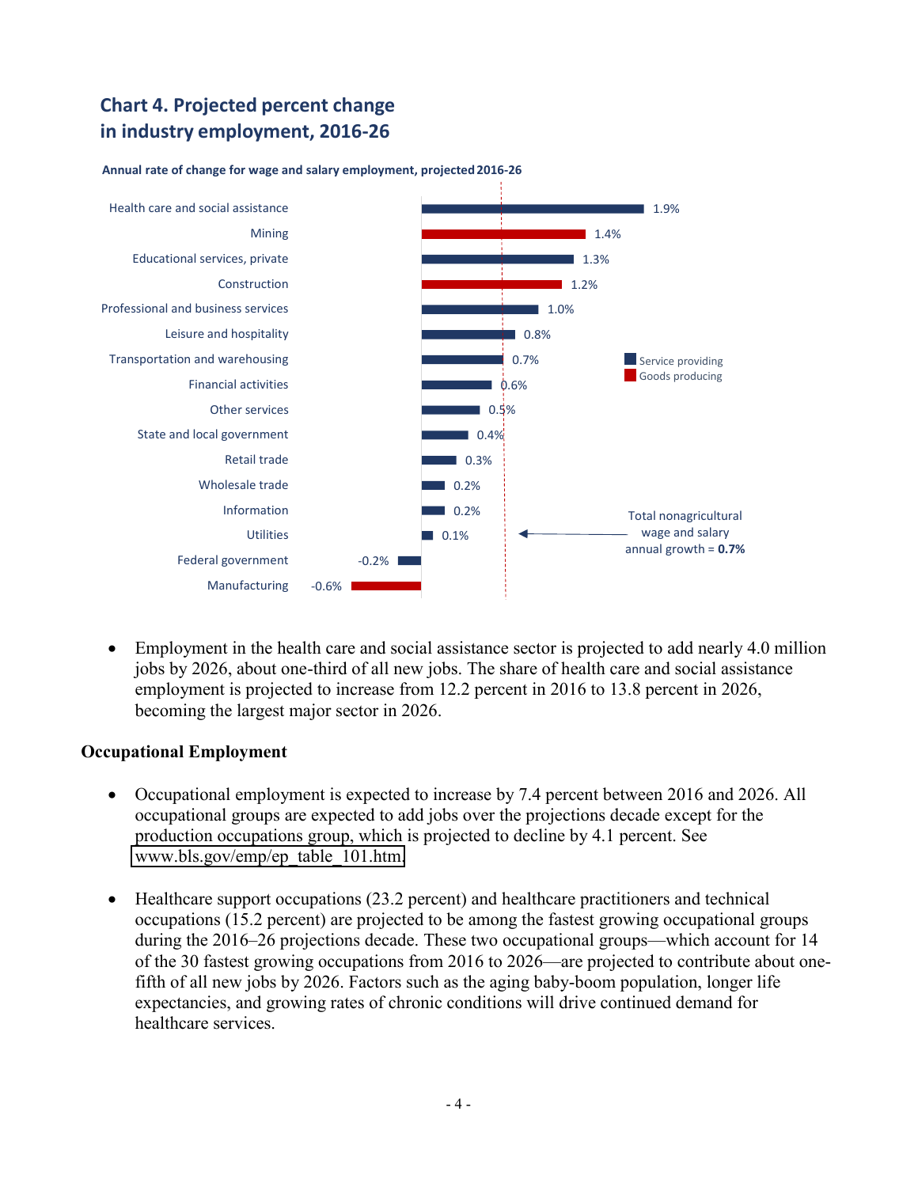# **Chart 4. Projected percent change** in industry employment, 2016-26



#### Annual rate of change for wage and salary employment, projected 2016-26

Employment in the health care and social assistance sector is projected to add nearly 4.0 million jobs by 2026, about one-third of all new jobs. The share of health care and social assistance employment is projected to increase from 12.2 percent in 2016 to 13.8 percent in 2026, becoming the largest major sector in 2026.

#### **Occupational Employment**

- Occupational employment is expected to increase by 7.4 percent between 2016 and 2026. All occupational groups are expected to add jobs over the projections decade except for the production occupations group, which is projected to decline by 4.1 percent. See www.bls.gov/emp/ep table 101.htm.
- Healthcare support occupations (23.2 percent) and healthcare practitioners and technical occupations (15.2 percent) are projected to be among the fastest growing occupational groups during the 2016–26 projections decade. These two occupational groups—which account for 14 of the 30 fastest growing occupations from 2016 to 2026—are projected to contribute about onefifth of all new jobs by 2026. Factors such as the aging baby-boom population, longer life expectancies, and growing rates of chronic conditions will drive continued demand for healthcare services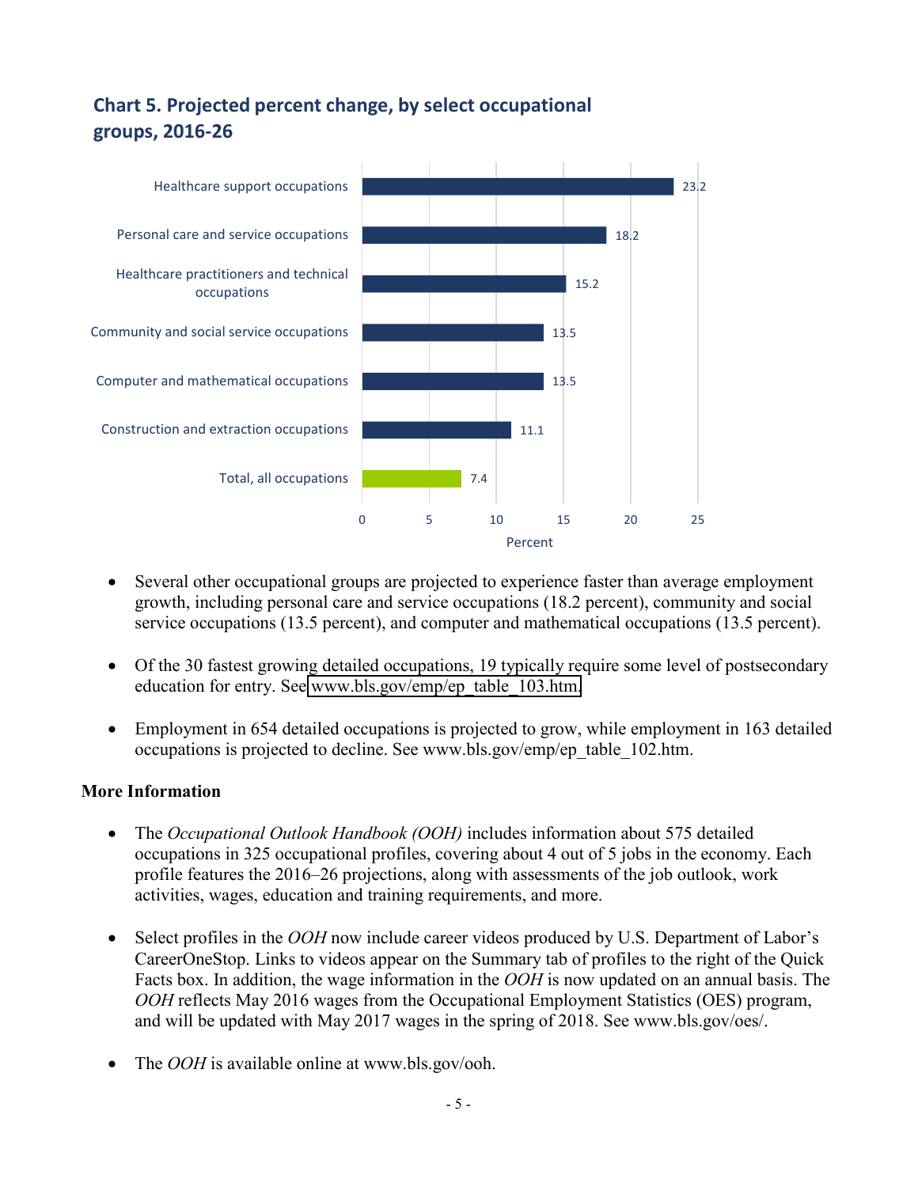# **Chart 5. Projected percent change, by select occupational groups,&2016=26**



- Several other occupational groups are projected to experience faster than average employment growth, including personal care and service occupations (18.2 percent), community and social service occupations (13.5 percent), and computer and mathematical occupations (13.5 percent).
- Of the 30 fastest growing detailed occupations, 19 typically require some level of postsecondary education for entry. See [www.bls.gov/emp/ep\\_table\\_103.htm.](http://www.bls.gov/emp/ep_table_103.htm)
- Employment in 654 detailed occupations is projected to grow, while employment in 163 detailed occupations is projected to decline. See [www.bls.gov/emp/ep\\_table\\_102.htm.](www.bls.gov/emp/ep_table_102.htm)

### **More Information**

- The *Occupational Outlook Handbook (OOH)* includes information about 575 detailed occupations in 325 occupational profiles, covering about 4 out of 5 jobs in the economy. Each profile features the 2016–26 projections, along with assessments of the job outlook, work activities, wages, education and training requirements, and more.
- Select profiles in the *OOH* now include career videos produced by U.S. Department of Labor's CareerOneStop. Links to videos appear on the Summary tab of profiles to the right of the Quick Facts box. In addition, the wage information in the *OOH* is now updated on an annual basis. The *OOH* reflects May 2016 wages from the Occupational Employment Statistics (OES) program, and will be updated with May 2017 wages in the spring of 2018. See <www.bls.gov/oes/>.
- The *OOH* is available online at [www.bls.gov/ooh.](www.bls.gov/ooh)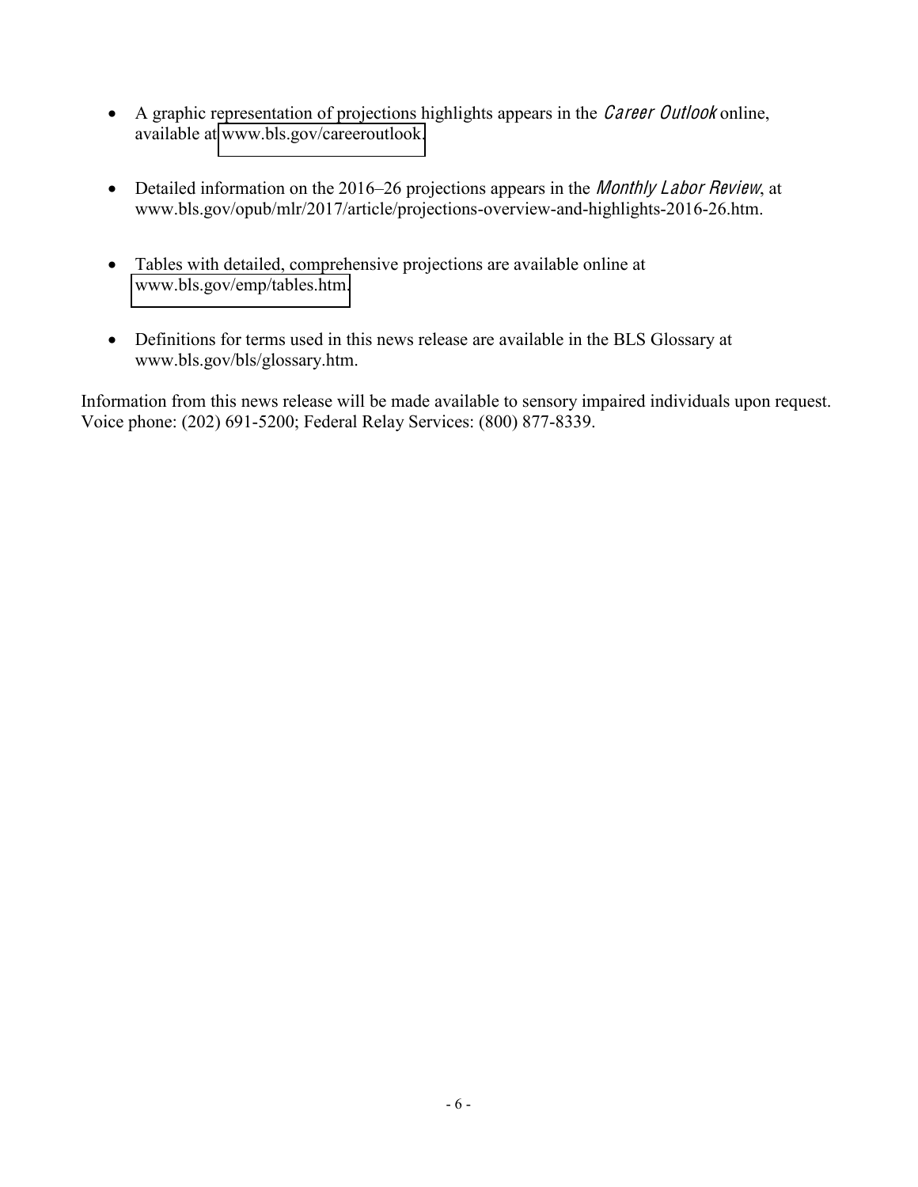- A graphic representation of projections highlights appears in the *Career Outlook* online, available at www.bls.gov/careeroutlook.
- Detailed information on the 2016–26 projections appears in the *Monthly Labor Review*, at www.bls.gov/opub/mlr/2017/article/projections-overview-and-highlights-2016-26.htm.
- Tables with detailed, comprehensive projections are available online at www.bls.gov/emp/tables.htm.
- Definitions for terms used in this news release are available in the BLS Glossary at www.bls.gov/bls/glossary.htm.

Information from this news release will be made available to sensory impaired individuals upon request. Voice phone: (202) 691-5200; Federal Relay Services: (800) 877-8339.